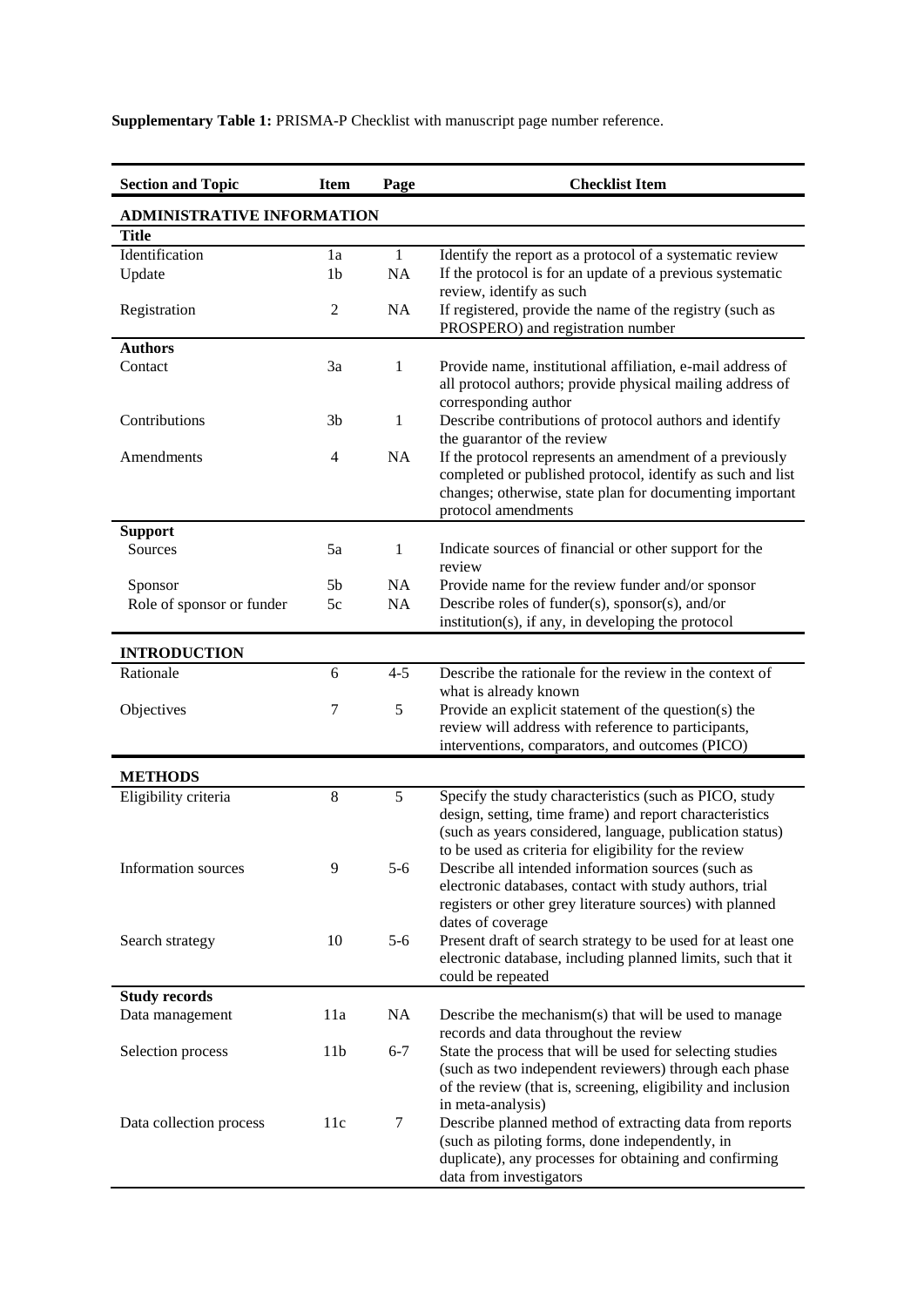| <b>Section and Topic</b>   | <b>Item</b>     | Page         | <b>Checklist Item</b>                                                                                                       |  |  |  |
|----------------------------|-----------------|--------------|-----------------------------------------------------------------------------------------------------------------------------|--|--|--|
| ADMINISTRATIVE INFORMATION |                 |              |                                                                                                                             |  |  |  |
| Title                      |                 |              |                                                                                                                             |  |  |  |
| Identification             | 1a              | $\mathbf{1}$ | Identify the report as a protocol of a systematic review                                                                    |  |  |  |
| Update                     | 1 <sub>b</sub>  | NA           | If the protocol is for an update of a previous systematic                                                                   |  |  |  |
|                            |                 |              | review, identify as such<br>If registered, provide the name of the registry (such as                                        |  |  |  |
| Registration               | $\mathfrak{2}$  | NA           | PROSPERO) and registration number                                                                                           |  |  |  |
| <b>Authors</b>             |                 |              |                                                                                                                             |  |  |  |
| Contact                    | 3a              | 1            | Provide name, institutional affiliation, e-mail address of                                                                  |  |  |  |
|                            |                 |              | all protocol authors; provide physical mailing address of                                                                   |  |  |  |
| Contributions              | 3 <sub>b</sub>  | 1            | corresponding author<br>Describe contributions of protocol authors and identify                                             |  |  |  |
|                            |                 |              | the guarantor of the review                                                                                                 |  |  |  |
| Amendments                 | 4               | NA           | If the protocol represents an amendment of a previously                                                                     |  |  |  |
|                            |                 |              | completed or published protocol, identify as such and list                                                                  |  |  |  |
|                            |                 |              | changes; otherwise, state plan for documenting important                                                                    |  |  |  |
| <b>Support</b>             |                 |              | protocol amendments                                                                                                         |  |  |  |
| Sources                    | 5a              | 1            | Indicate sources of financial or other support for the                                                                      |  |  |  |
|                            |                 |              | review                                                                                                                      |  |  |  |
| Sponsor                    | 5 <sub>b</sub>  | NA           | Provide name for the review funder and/or sponsor                                                                           |  |  |  |
| Role of sponsor or funder  | 5c              | NA           | Describe roles of funder(s), sponsor(s), and/or<br>institution(s), if any, in developing the protocol                       |  |  |  |
|                            |                 |              |                                                                                                                             |  |  |  |
| <b>INTRODUCTION</b>        |                 |              |                                                                                                                             |  |  |  |
| Rationale                  | 6               | $4 - 5$      | Describe the rationale for the review in the context of<br>what is already known                                            |  |  |  |
| Objectives                 | 7               | 5            | Provide an explicit statement of the question(s) the                                                                        |  |  |  |
|                            |                 |              | review will address with reference to participants,                                                                         |  |  |  |
|                            |                 |              | interventions, comparators, and outcomes (PICO)                                                                             |  |  |  |
| <b>METHODS</b>             |                 |              |                                                                                                                             |  |  |  |
| Eligibility criteria       | $8\,$           | 5            | Specify the study characteristics (such as PICO, study                                                                      |  |  |  |
|                            |                 |              | design, setting, time frame) and report characteristics                                                                     |  |  |  |
|                            |                 |              | (such as years considered, language, publication status)                                                                    |  |  |  |
| Information sources        | 9               | $5 - 6$      | to be used as criteria for eligibility for the review<br>Describe all intended information sources (such as                 |  |  |  |
|                            |                 |              | electronic databases, contact with study authors, trial                                                                     |  |  |  |
|                            |                 |              | registers or other grey literature sources) with planned                                                                    |  |  |  |
|                            |                 |              | dates of coverage                                                                                                           |  |  |  |
| Search strategy            | 10              | $5 - 6$      | Present draft of search strategy to be used for at least one<br>electronic database, including planned limits, such that it |  |  |  |
|                            |                 |              | could be repeated                                                                                                           |  |  |  |
| <b>Study records</b>       |                 |              |                                                                                                                             |  |  |  |
| Data management            | 11a             | NA           | Describe the mechanism(s) that will be used to manage                                                                       |  |  |  |
|                            |                 |              | records and data throughout the review                                                                                      |  |  |  |
| Selection process          | 11 <sub>b</sub> | $6 - 7$      | State the process that will be used for selecting studies<br>(such as two independent reviewers) through each phase         |  |  |  |
|                            |                 |              | of the review (that is, screening, eligibility and inclusion                                                                |  |  |  |
|                            |                 |              | in meta-analysis)                                                                                                           |  |  |  |
| Data collection process    | 11c             | 7            | Describe planned method of extracting data from reports                                                                     |  |  |  |
|                            |                 |              | (such as piloting forms, done independently, in<br>duplicate), any processes for obtaining and confirming                   |  |  |  |
|                            |                 |              | data from investigators                                                                                                     |  |  |  |

**Supplementary Table 1:** PRISMA-P Checklist with manuscript page number reference.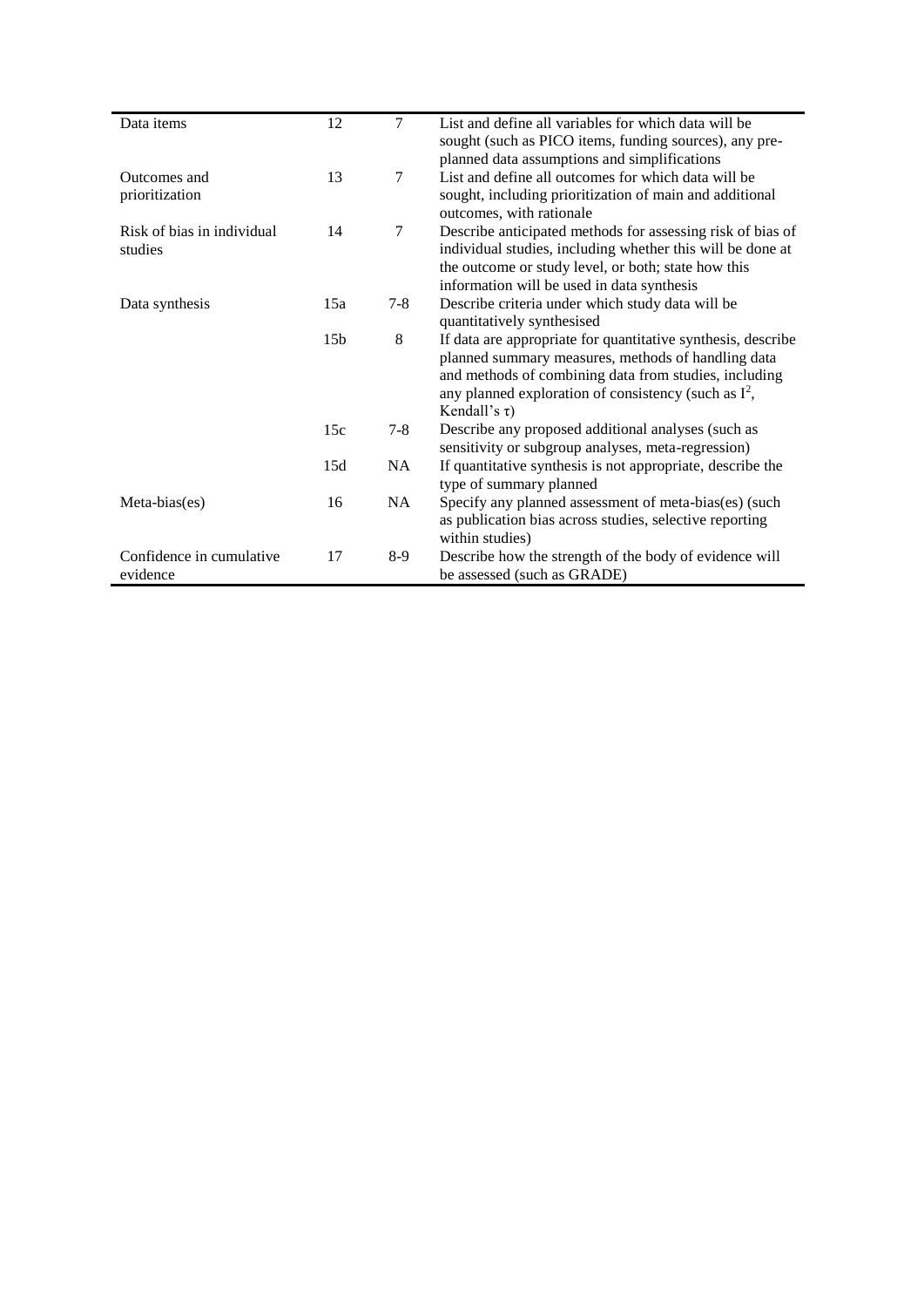| Data items                 | 12              | $\tau$ | List and define all variables for which data will be<br>sought (such as PICO items, funding sources), any pre-     |
|----------------------------|-----------------|--------|--------------------------------------------------------------------------------------------------------------------|
|                            |                 |        | planned data assumptions and simplifications                                                                       |
| Outcomes and               | 13              | 7      | List and define all outcomes for which data will be                                                                |
| prioritization             |                 |        | sought, including prioritization of main and additional<br>outcomes, with rationale                                |
| Risk of bias in individual | 14              | $\tau$ | Describe anticipated methods for assessing risk of bias of                                                         |
| studies                    |                 |        | individual studies, including whether this will be done at                                                         |
|                            |                 |        | the outcome or study level, or both; state how this                                                                |
|                            |                 |        | information will be used in data synthesis                                                                         |
| Data synthesis             | 15a             | $7-8$  | Describe criteria under which study data will be<br>quantitatively synthesised                                     |
|                            | 15 <sub>b</sub> | 8      | If data are appropriate for quantitative synthesis, describe<br>planned summary measures, methods of handling data |
|                            |                 |        | and methods of combining data from studies, including<br>any planned exploration of consistency (such as $I^2$ ,   |
|                            |                 |        | Kendall's $\tau$ )                                                                                                 |
|                            | 15c             | $7-8$  | Describe any proposed additional analyses (such as                                                                 |
|                            |                 |        | sensitivity or subgroup analyses, meta-regression)                                                                 |
|                            | 15d             | NA     | If quantitative synthesis is not appropriate, describe the<br>type of summary planned                              |
| Meta-bias(es)              | 16              | NA     | Specify any planned assessment of meta-bias(es) (such                                                              |
|                            |                 |        | as publication bias across studies, selective reporting<br>within studies)                                         |
| Confidence in cumulative   | 17              | $8-9$  | Describe how the strength of the body of evidence will                                                             |
| evidence                   |                 |        | be assessed (such as GRADE)                                                                                        |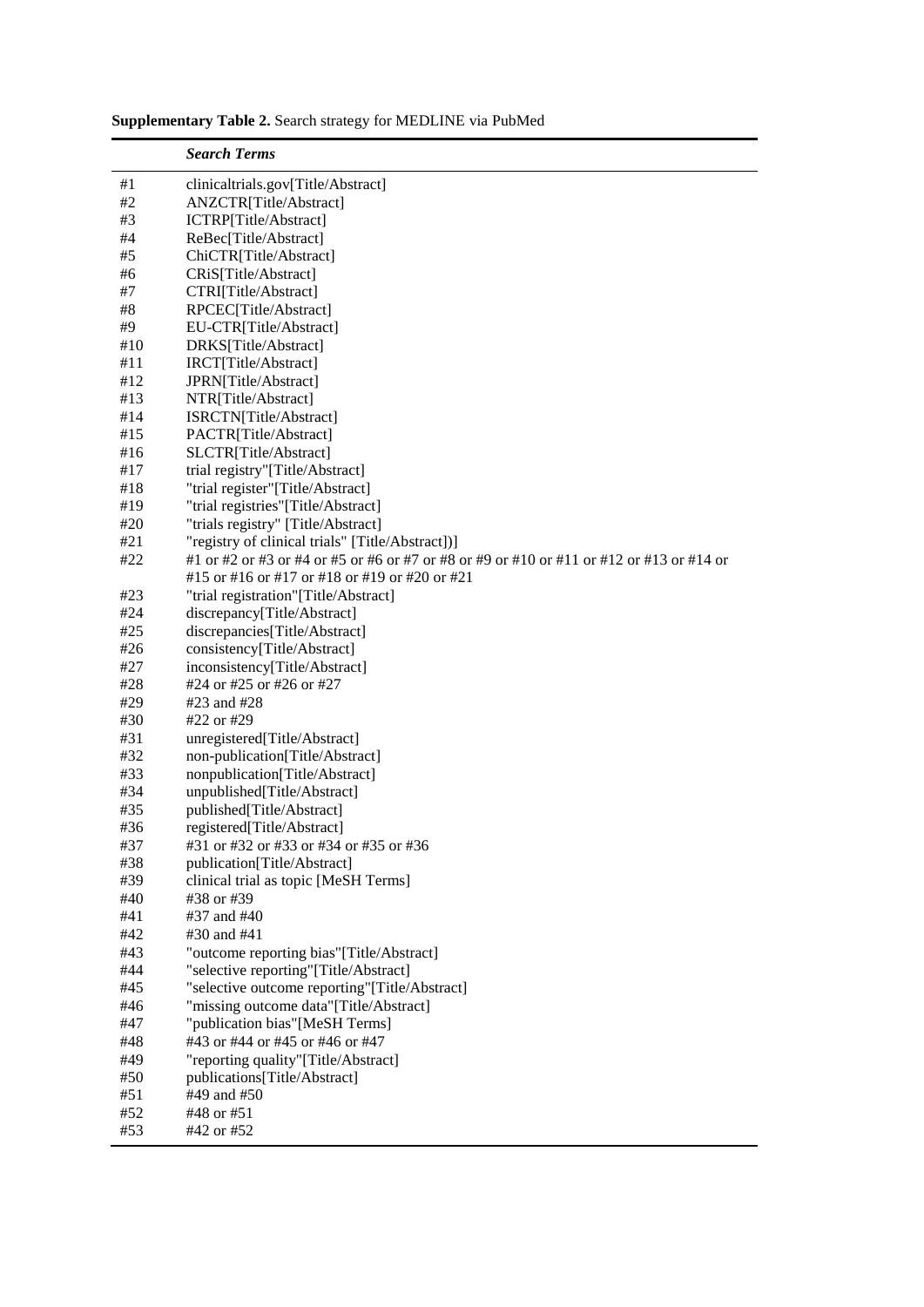|            | <b>Search Terms</b>                                                                      |
|------------|------------------------------------------------------------------------------------------|
| #1         | clinicaltrials.gov[Title/Abstract]                                                       |
| #2         | ANZCTR[Title/Abstract]                                                                   |
| #3         | ICTRP[Title/Abstract]                                                                    |
| #4         | ReBec[Title/Abstract]                                                                    |
| #5         | ChiCTR[Title/Abstract]                                                                   |
| #6         | CRiS[Title/Abstract]                                                                     |
| #7         | CTRI[Title/Abstract]                                                                     |
| #8         | RPCEC[Title/Abstract]                                                                    |
| #9         | EU-CTR[Title/Abstract]                                                                   |
| #10        | DRKS[Title/Abstract]                                                                     |
| #11        | IRCT[Title/Abstract]                                                                     |
| #12        | JPRN[Title/Abstract]                                                                     |
| #13        | NTR[Title/Abstract]                                                                      |
| #14        | ISRCTN[Title/Abstract]                                                                   |
| #15        | PACTR[Title/Abstract]                                                                    |
| #16        | SLCTR[Title/Abstract]                                                                    |
| #17        | trial registry"[Title/Abstract]                                                          |
| #18        | "trial register"[Title/Abstract]                                                         |
| #19        | "trial registries"[Title/Abstract]                                                       |
| #20        | "trials registry" [Title/Abstract]                                                       |
| #21        | "registry of clinical trials" [Title/Abstract])]                                         |
| #22        | #1 or #2 or #3 or #4 or #5 or #6 or #7 or #8 or #9 or #10 or #11 or #12 or #13 or #14 or |
|            | #15 or #16 or #17 or #18 or #19 or #20 or #21                                            |
| #23        | "trial registration"[Title/Abstract]                                                     |
| #24        | discrepancy[Title/Abstract]                                                              |
| #25        | discrepancies[Title/Abstract]                                                            |
| #26        | consistency[Title/Abstract]                                                              |
| #27        | inconsistency[Title/Abstract]                                                            |
| #28        | #24 or #25 or #26 or #27                                                                 |
| #29        | #23 and #28                                                                              |
| #30        | #22 or #29                                                                               |
| #31        | unregistered[Title/Abstract]                                                             |
| #32        | non-publication[Title/Abstract]                                                          |
| #33        | nonpublication[Title/Abstract]                                                           |
| #34        | unpublished[Title/Abstract]                                                              |
| #35        | published[Title/Abstract]                                                                |
| #36        | registered[Title/Abstract]                                                               |
| #37<br>#38 | #31 or #32 or #33 or #34 or #35 or #36<br>publication[Title/Abstract]                    |
| #39        | clinical trial as topic [MeSH Terms]                                                     |
| #40        | #38 or #39                                                                               |
| #41        | #37 and #40                                                                              |
| #42        | #30 and #41                                                                              |
| #43        | "outcome reporting bias"[Title/Abstract]                                                 |
| #44        | "selective reporting"[Title/Abstract]                                                    |
| #45        | "selective outcome reporting"[Title/Abstract]                                            |
| #46        | "missing outcome data"[Title/Abstract]                                                   |
| #47        | "publication bias"[MeSH Terms]                                                           |
| #48        | #43 or #44 or #45 or #46 or #47                                                          |
| #49        | "reporting quality"[Title/Abstract]                                                      |
| #50        | publications[Title/Abstract]                                                             |
| #51        | #49 and #50                                                                              |
| #52        | #48 or #51                                                                               |
| #53        | #42 or #52                                                                               |

**Supplementary Table 2.** Search strategy for MEDLINE via PubMed